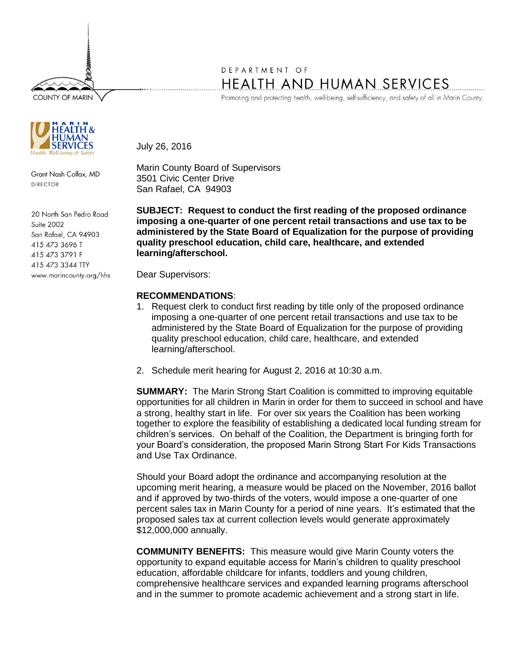**COUNTY OF MARIN** 



Grant Nash Colfax, MD DIRECTOR

20 North San Pedro Road Suite 2002 San Rafael, CA 94903 415 473 3696 T 415 473 3791 F 415 473 3344 TTY www.marincounty.org/hhs

## DEPARTMENT OF HEALTH AND HUMAN SERVICES

Promoting and protecting health, well-being, self-sufficiency, and safety of all in Marin County.

July 26, 2016

Marin County Board of Supervisors 3501 Civic Center Drive San Rafael, CA 94903

**SUBJECT: Request to conduct the first reading of the proposed ordinance imposing a one-quarter of one percent retail transactions and use tax to be administered by the State Board of Equalization for the purpose of providing quality preschool education, child care, healthcare, and extended learning/afterschool.**

Dear Supervisors:

## **RECOMMENDATIONS**:

- 1. Request clerk to conduct first reading by title only of the proposed ordinance imposing a one-quarter of one percent retail transactions and use tax to be administered by the State Board of Equalization for the purpose of providing quality preschool education, child care, healthcare, and extended learning/afterschool.
- 2. Schedule merit hearing for August 2, 2016 at 10:30 a.m.

**SUMMARY:** The Marin Strong Start Coalition is committed to improving equitable opportunities for all children in Marin in order for them to succeed in school and have a strong, healthy start in life. For over six years the Coalition has been working together to explore the feasibility of establishing a dedicated local funding stream for children's services. On behalf of the Coalition, the Department is bringing forth for your Board's consideration, the proposed Marin Strong Start For Kids Transactions and Use Tax Ordinance.

Should your Board adopt the ordinance and accompanying resolution at the upcoming merit hearing, a measure would be placed on the November, 2016 ballot and if approved by two-thirds of the voters, would impose a one-quarter of one percent sales tax in Marin County for a period of nine years. It's estimated that the proposed sales tax at current collection levels would generate approximately \$12,000,000 annually.

**COMMUNITY BENEFITS:** This measure would give Marin County voters the opportunity to expand equitable access for Marin's children to quality preschool education, affordable childcare for infants, toddlers and young children, comprehensive healthcare services and expanded learning programs afterschool and in the summer to promote academic achievement and a strong start in life.